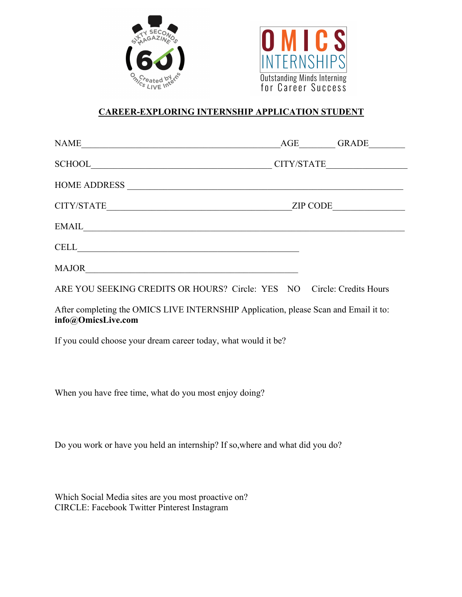



## **CAREER-EXPLORING INTERNSHIP APPLICATION STUDENT**

| <b>NAME</b>         | AGE<br><b>GRADE</b> |
|---------------------|---------------------|
| <b>SCHOOL</b>       | CITY/STATE          |
| <b>HOME ADDRESS</b> |                     |
| CITY/STATE          | <b>ZIP CODE</b>     |
| <b>EMAIL</b>        |                     |
| <b>CELL</b>         |                     |
| <b>MAJOR</b>        |                     |

ARE YOU SEEKING CREDITS OR HOURS? Circle: YES NO Circle: Credits Hours

After completing the OMICS LIVE INTERNSHIP Application, please Scan and Email it to: **info@OmicsLive.com**

If you could choose your dream career today, what would it be?

When you have free time, what do you most enjoy doing?

Do you work or have you held an internship? If so,where and what did you do?

Which Social Media sites are you most proactive on? CIRCLE: Facebook Twitter Pinterest Instagram